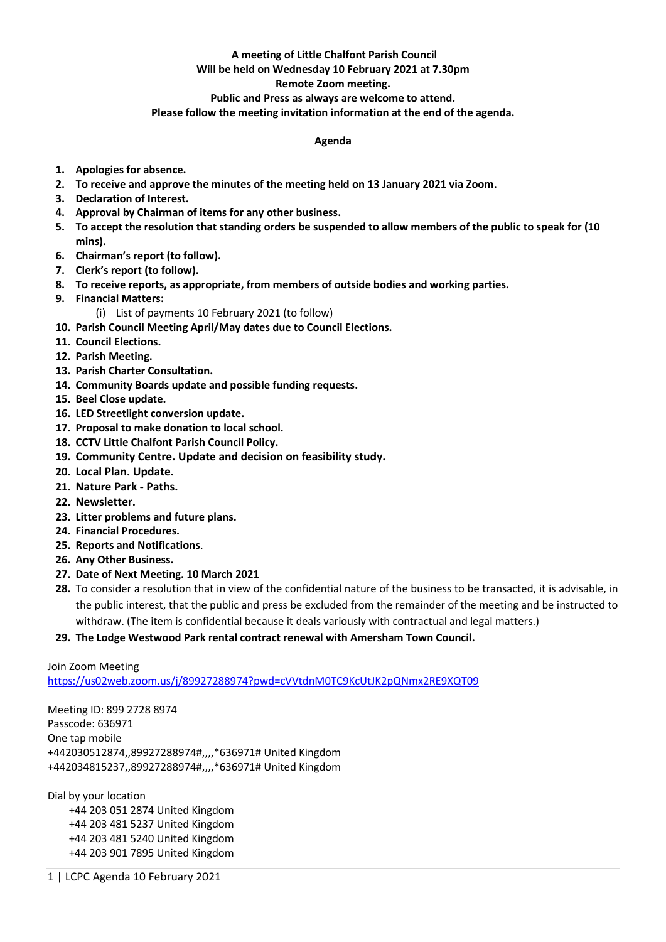# **A meeting of Little Chalfont Parish Council**

## **Will be held on Wednesday 10 February 2021 at 7.30pm**

## **Remote Zoom meeting.**

#### **Public and Press as always are welcome to attend.**

#### **Please follow the meeting invitation information at the end of the agenda.**

#### **Agenda**

- **1. Apologies for absence.**
- **2. To receive and approve the minutes of the meeting held on 13 January 2021 via Zoom.**
- **3. Declaration of Interest.**
- **4. Approval by Chairman of items for any other business.**
- **5. To accept the resolution that standing orders be suspended to allow members of the public to speak for (10 mins).**
- **6. Chairman's report (to follow).**
- **7. Clerk's report (to follow).**
- **8. To receive reports, as appropriate, from members of outside bodies and working parties.**
- **9. Financial Matters:**
	- (i) List of payments 10 February 2021 (to follow)
- **10. Parish Council Meeting April/May dates due to Council Elections.**
- **11. Council Elections.**
- **12. Parish Meeting.**
- **13. Parish Charter Consultation.**
- **14. Community Boards update and possible funding requests.**
- **15. Beel Close update.**
- **16. LED Streetlight conversion update.**
- **17. Proposal to make donation to local school.**
- **18. CCTV Little Chalfont Parish Council Policy.**
- **19. Community Centre. Update and decision on feasibility study.**
- **20. Local Plan. Update.**
- **21. Nature Park - Paths.**
- **22. Newsletter.**
- **23. Litter problems and future plans.**
- **24. Financial Procedures.**
- **25. Reports and Notifications**.
- **26. Any Other Business.**
- **27. Date of Next Meeting. 10 March 2021**
- **28.** To consider a resolution that in view of the confidential nature of the business to be transacted, it is advisable, in the public interest, that the public and press be excluded from the remainder of the meeting and be instructed to withdraw. (The item is confidential because it deals variously with contractual and legal matters.)

### **29. The Lodge Westwood Park rental contract renewal with Amersham Town Council.**

#### Join Zoom Meeting

<https://us02web.zoom.us/j/89927288974?pwd=cVVtdnM0TC9KcUtJK2pQNmx2RE9XQT09>

Meeting ID: 899 2728 8974 Passcode: 636971 One tap mobile +442030512874,,89927288974#,,,,\*636971# United Kingdom +442034815237,,89927288974#,,,,\*636971# United Kingdom

Dial by your location +44 203 051 2874 United Kingdom +44 203 481 5237 United Kingdom +44 203 481 5240 United Kingdom +44 203 901 7895 United Kingdom